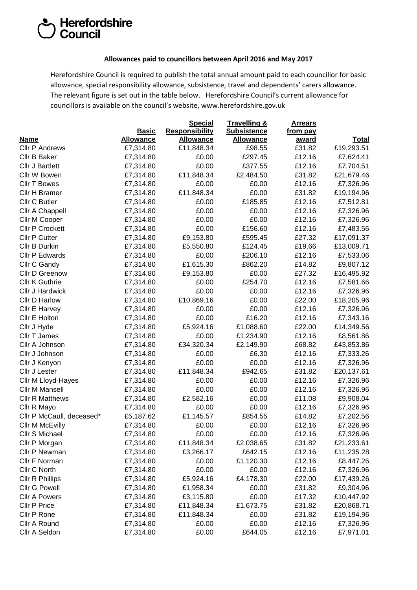## Superfordshire<br>Council

## **Allowances paid to councillors between April 2016 and May 2017**

Herefordshire Council is required to publish the total annual amount paid to each councillor for basic allowance, special responsibility allowance, subsistence, travel and dependents' carers allowance. The relevant figure is set out in the table below. Herefordshire Council's current allowance for councillors is available on the council's website, www.herefordshire.gov.uk

|                           |                  | <b>Special</b>        | Travelling &       | <b>Arrears</b> |              |
|---------------------------|------------------|-----------------------|--------------------|----------------|--------------|
|                           | <b>Basic</b>     | <b>Responsibility</b> | <b>Subsistence</b> | from pay       |              |
| <b>Name</b>               | <b>Allowance</b> | <b>Allowance</b>      | <b>Allowance</b>   | award          | <b>Total</b> |
| <b>Cllr P Andrews</b>     | £7,314.80        | £11,848.34            | £98.55             | £31.82         | £19,293.51   |
| Cllr B Baker              | £7,314.80        | £0.00                 | £297.45            | £12.16         | £7,624.41    |
| Cllr J Bartlett           | £7,314.80        | £0.00                 | £377.55            | £12.16         | £7,704.51    |
| Cllr W Bowen              | £7,314.80        | £11,848.34            | £2,484.50          | £31.82         | £21,679.46   |
| <b>Cllr T Bowes</b>       | £7,314.80        | £0.00                 | £0.00              | £12.16         | £7,326.96    |
| Cllr H Bramer             | £7,314.80        | £11,848.34            | £0.00              | £31.82         | £19,194.96   |
| Cllr C Butler             | £7,314.80        | £0.00                 | £185.85            | £12.16         | £7,512.81    |
| Cllr A Chappell           | £7,314.80        | £0.00                 | £0.00              | £12.16         | £7,326.96    |
| Cllr M Cooper             | £7,314.80        | £0.00                 | £0.00              | £12.16         | £7,326.96    |
| Cllr P Crockett           | £7,314.80        | £0.00                 | £156.60            | £12.16         | £7,483.56    |
| Cllr P Cutter             | £7,314.80        | £9,153.80             | £595.45            | £27.32         | £17,091.37   |
| Cllr B Durkin             | £7,314.80        | £5,550.80             | £124.45            | £19.66         | £13,009.71   |
| Cllr P Edwards            | £7,314.80        | £0.00                 | £206.10            | £12.16         | £7,533.06    |
| Cllr C Gandy              | £7,314.80        | £1,615.30             | £862.20            | £14.82         | £9,807.12    |
| <b>Cllr D Greenow</b>     | £7,314.80        | £9,153.80             | £0.00              | £27.32         | £16,495.92   |
| Cllr K Guthrie            | £7,314.80        | £0.00                 | £254.70            | £12.16         | £7,581.66    |
| Cllr J Hardwick           | £7,314.80        | £0.00                 | £0.00              | £12.16         | £7,326.96    |
| Cllr D Harlow             | £7,314.80        | £10,869.16            | £0.00              | £22.00         | £18,205.96   |
| Cllr E Harvey             | £7,314.80        | £0.00                 | £0.00              | £12.16         | £7,326.96    |
| Cllr E Holton             | £7,314.80        | £0.00                 | £16.20             | £12.16         | £7,343.16    |
| Cllr J Hyde               | £7,314.80        | £5,924.16             | £1,088.60          | £22.00         | £14,349.56   |
| Cllr T James              | £7,314.80        | £0.00                 | £1,234.90          | £12.16         | £8,561.86    |
| Cllr A Johnson            | £7,314.80        | £34,320.34            | £2,149.90          | £68.82         | £43,853.86   |
| Cllr J Johnson            | £7,314.80        | £0.00                 | £6.30              | £12.16         | £7,333.26    |
| Cllr J Kenyon             | £7,314.80        | £0.00                 | £0.00              | £12.16         | £7,326.96    |
| Cllr J Lester             | £7,314.80        | £11,848.34            | £942.65            | £31.82         | £20,137.61   |
| Cllr M Lloyd-Hayes        | £7,314.80        | £0.00                 | £0.00              | £12.16         | £7,326.96    |
| Cllr M Mansell            | £7,314.80        | £0.00                 | £0.00              | £12.16         | £7,326.96    |
| <b>Cllr R Matthews</b>    | £7,314.80        | £2,582.16             | £0.00              | £11.08         | £9,908.04    |
| Cllr R Mayo               | £7,314.80        | £0.00                 | £0.00              | £12.16         | £7,326.96    |
| Cllr P McCaull, deceased* | £5,187.62        | £1,145.57             | £854.55            | £14.82         | £7,202.56    |
| Cllr M McEvilly           | £7,314.80        | £0.00                 | £0.00              | £12.16         | £7,326.96    |
| Cllr S Michael            | £7,314.80        | £0.00                 | £0.00              | £12.16         | £7,326.96    |
| Cllr P Morgan             | £7,314.80        | £11,848.34            | £2,038.65          | £31.82         | £21,233.61   |
| Cllr P Newman             | £7,314.80        | £3,266.17             | £642.15            | £12.16         | £11,235.28   |
| Cllr F Norman             | £7,314.80        | £0.00                 | £1,120.30          | £12.16         | £8,447.26    |
| Cllr C North              | £7,314.80        | £0.00                 | £0.00              | £12.16         | £7,326.96    |
| Cllr R Phillips           | £7,314.80        | £5,924.16             | £4,178.30          | £22.00         | £17,439.26   |
| Cllr G Powell             | £7,314.80        | £1,958.34             | £0.00              | £31.82         | £9,304.96    |
| <b>Cllr A Powers</b>      | £7,314.80        | £3,115.80             | £0.00              | £17.32         | £10,447.92   |
| Cllr P Price              | £7,314.80        | £11,848.34            | £1,673.75          | £31.82         | £20,868.71   |
| Cllr P Rone               | £7,314.80        | £11,848.34            | £0.00              | £31.82         | £19,194.96   |
| Cllr A Round              | £7,314.80        | £0.00                 | £0.00              | £12.16         | £7,326.96    |
| Cllr A Seldon             | £7,314.80        | £0.00                 | £644.05            | £12.16         | £7,971.01    |